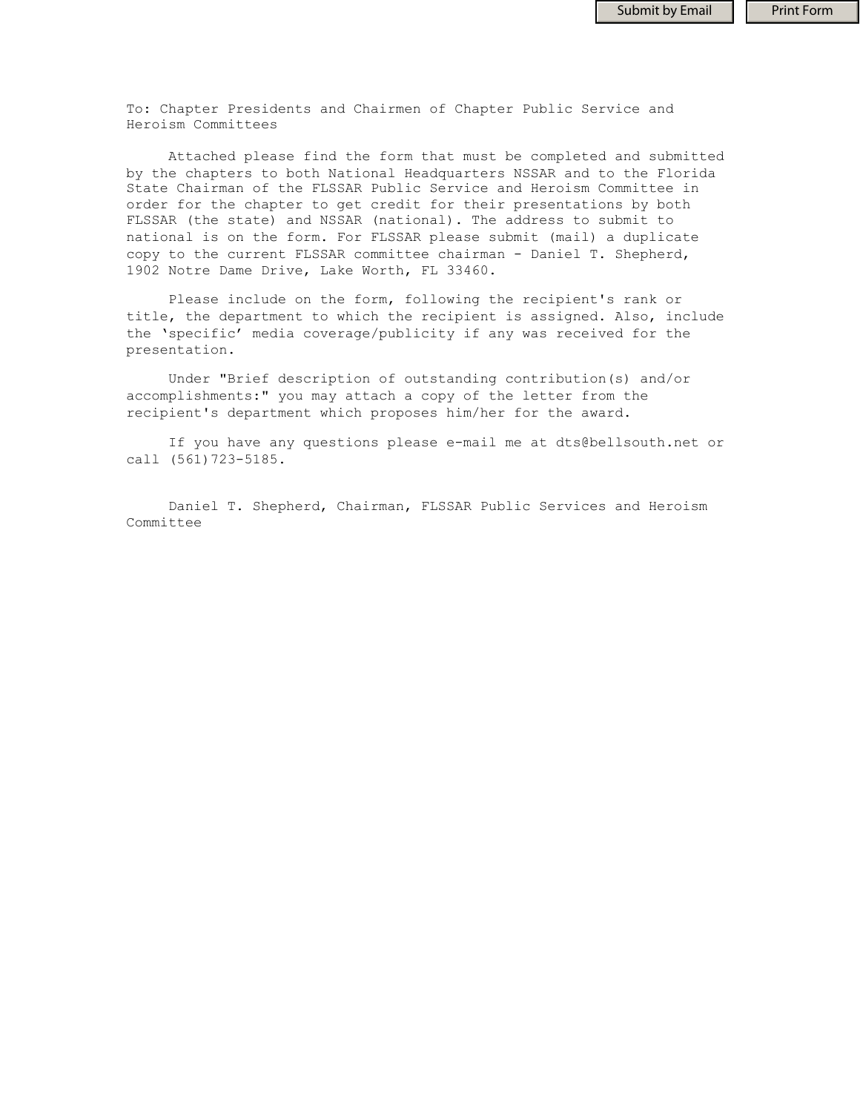To: Chapter Presidents and Chairmen of Chapter Public Service and Heroism Committees

 Attached please find the form that must be completed and submitted by the chapters to both National Headquarters NSSAR and to the Florida State Chairman of the FLSSAR Public Service and Heroism Committee in order for the chapter to get credit for their presentations by both FLSSAR (the state) and NSSAR (national). The address to submit to national is on the form. For FLSSAR please submit (mail) a duplicate copy to the current FLSSAR committee chairman - Daniel T. Shepherd, 1902 Notre Dame Drive, Lake Worth, FL 33460.

 Please include on the form, following the recipient's rank or title, the department to which the recipient is assigned. Also, include the 'specific' media coverage/publicity if any was received for the presentation.

 Under "Brief description of outstanding contribution(s) and/or accomplishments:" you may attach a copy of the letter from the recipient's department which proposes him/her for the award.

 If you have any questions please e-mail me at dts@bellsouth.net or call (561)723-5185.

 Daniel T. Shepherd, Chairman, FLSSAR Public Services and Heroism Committee